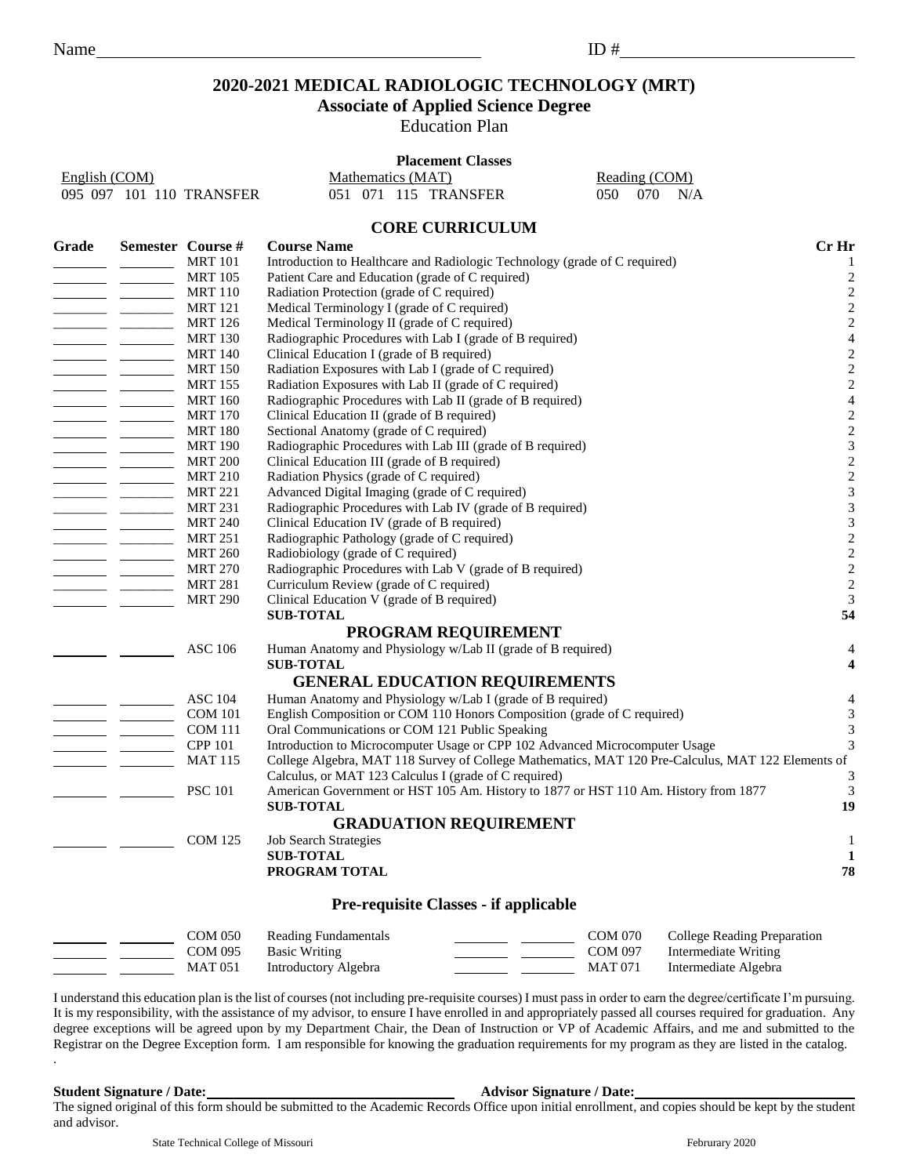# **2020-2021 MEDICAL RADIOLOGIC TECHNOLOGY (MRT)**

### **Associate of Applied Science Degree**

Education Plan

#### **Placement Classes**

| English (COM)            | Mathematics (MAT)    |  | Reading (COM)     |  |  |
|--------------------------|----------------------|--|-------------------|--|--|
| 095 097 101 110 TRANSFER | 051 071 115 TRANSFER |  | $050$ $070$ $N/A$ |  |  |

### **CORE CURRICULUM**

| Grade |                                                                                                                                                                                                                                                                                                                                                                                                                                                                                             | Semester Course # | <b>Course Name</b>                                                                                | Cr Hr                       |
|-------|---------------------------------------------------------------------------------------------------------------------------------------------------------------------------------------------------------------------------------------------------------------------------------------------------------------------------------------------------------------------------------------------------------------------------------------------------------------------------------------------|-------------------|---------------------------------------------------------------------------------------------------|-----------------------------|
|       |                                                                                                                                                                                                                                                                                                                                                                                                                                                                                             | <b>MRT 101</b>    | Introduction to Healthcare and Radiologic Technology (grade of C required)                        | 1                           |
|       | $\overline{\phantom{a}}$ and $\overline{\phantom{a}}$ and $\overline{\phantom{a}}$                                                                                                                                                                                                                                                                                                                                                                                                          | <b>MRT 105</b>    | Patient Care and Education (grade of C required)                                                  | $\sqrt{2}$                  |
|       |                                                                                                                                                                                                                                                                                                                                                                                                                                                                                             | <b>MRT 110</b>    | Radiation Protection (grade of C required)                                                        | $\overline{c}$              |
|       |                                                                                                                                                                                                                                                                                                                                                                                                                                                                                             | <b>MRT</b> 121    | Medical Terminology I (grade of C required)                                                       | $\sqrt{2}$                  |
|       |                                                                                                                                                                                                                                                                                                                                                                                                                                                                                             | <b>MRT 126</b>    | Medical Terminology II (grade of C required)                                                      | $\overline{c}$              |
|       | $\overline{\phantom{a}}$ and $\overline{\phantom{a}}$                                                                                                                                                                                                                                                                                                                                                                                                                                       | <b>MRT 130</b>    | Radiographic Procedures with Lab I (grade of B required)                                          | $\overline{4}$              |
|       |                                                                                                                                                                                                                                                                                                                                                                                                                                                                                             | <b>MRT 140</b>    | Clinical Education I (grade of B required)                                                        | $\sqrt{2}$                  |
|       |                                                                                                                                                                                                                                                                                                                                                                                                                                                                                             | <b>MRT 150</b>    | Radiation Exposures with Lab I (grade of C required)                                              | $\sqrt{2}$                  |
|       | $\frac{1}{2}$ and $\frac{1}{2}$ and $\frac{1}{2}$ and $\frac{1}{2}$                                                                                                                                                                                                                                                                                                                                                                                                                         | <b>MRT 155</b>    | Radiation Exposures with Lab II (grade of C required)                                             | $\sqrt{2}$                  |
|       | $\begin{tabular}{ll} \multicolumn{1}{l}{} & \multicolumn{1}{l}{} & \multicolumn{1}{l}{} \\ \multicolumn{1}{l}{} & \multicolumn{1}{l}{} & \multicolumn{1}{l}{} \\ \multicolumn{1}{l}{} & \multicolumn{1}{l}{} & \multicolumn{1}{l}{} \\ \multicolumn{1}{l}{} & \multicolumn{1}{l}{} & \multicolumn{1}{l}{} \\ \multicolumn{1}{l}{} & \multicolumn{1}{l}{} & \multicolumn{1}{l}{} \\ \multicolumn{1}{l}{} & \multicolumn{1}{l}{} & \multicolumn{1}{l}{} \\ \multicolumn{1}{l}{} & \multic$    | <b>MRT 160</b>    | Radiographic Procedures with Lab II (grade of B required)                                         | $\overline{4}$              |
|       | $\overline{\phantom{a}}$ and $\overline{\phantom{a}}$ and $\overline{\phantom{a}}$                                                                                                                                                                                                                                                                                                                                                                                                          | <b>MRT 170</b>    | Clinical Education II (grade of B required)                                                       | $\overline{\mathbf{c}}$     |
|       |                                                                                                                                                                                                                                                                                                                                                                                                                                                                                             | <b>MRT 180</b>    | Sectional Anatomy (grade of C required)                                                           | $\sqrt{2}$                  |
|       | $\frac{1}{1} \left( \frac{1}{1} \right) \left( \frac{1}{1} \right) \left( \frac{1}{1} \right) \left( \frac{1}{1} \right) \left( \frac{1}{1} \right) \left( \frac{1}{1} \right) \left( \frac{1}{1} \right) \left( \frac{1}{1} \right) \left( \frac{1}{1} \right) \left( \frac{1}{1} \right) \left( \frac{1}{1} \right) \left( \frac{1}{1} \right) \left( \frac{1}{1} \right) \left( \frac{1}{1} \right) \left( \frac{1}{1} \right) \left( \frac{1}{1} \right) \left( \frac$                  | <b>MRT 190</b>    | Radiographic Procedures with Lab III (grade of B required)                                        | $\mathfrak{Z}$              |
|       | $\overline{\phantom{a}}$ and $\overline{\phantom{a}}$ and $\overline{\phantom{a}}$                                                                                                                                                                                                                                                                                                                                                                                                          | <b>MRT 200</b>    | Clinical Education III (grade of B required)                                                      | $\overline{c}$              |
|       |                                                                                                                                                                                                                                                                                                                                                                                                                                                                                             | <b>MRT 210</b>    | Radiation Physics (grade of C required)                                                           | $\overline{c}$              |
|       |                                                                                                                                                                                                                                                                                                                                                                                                                                                                                             | <b>MRT 221</b>    | Advanced Digital Imaging (grade of C required)                                                    | $\sqrt{3}$                  |
|       |                                                                                                                                                                                                                                                                                                                                                                                                                                                                                             | <b>MRT 231</b>    | Radiographic Procedures with Lab IV (grade of B required)                                         | 3                           |
|       | $\begin{tabular}{ll} \multicolumn{1}{l}{} & \multicolumn{1}{l}{} & \multicolumn{1}{l}{} \\ \multicolumn{1}{l}{} & \multicolumn{1}{l}{} & \multicolumn{1}{l}{} \\ \multicolumn{1}{l}{} & \multicolumn{1}{l}{} & \multicolumn{1}{l}{} \\ \multicolumn{1}{l}{} & \multicolumn{1}{l}{} & \multicolumn{1}{l}{} \\ \multicolumn{1}{l}{} & \multicolumn{1}{l}{} & \multicolumn{1}{l}{} \\ \multicolumn{1}{l}{} & \multicolumn{1}{l}{} & \multicolumn{1}{l}{} \\ \multicolumn{1}{l}{} & \multic$    | <b>MRT 240</b>    | Clinical Education IV (grade of B required)                                                       | $\mathfrak{Z}$              |
|       | $\overline{\phantom{a}}$ $\overline{\phantom{a}}$ $\overline{\phantom{a}}$ $\overline{\phantom{a}}$ $\overline{\phantom{a}}$ $\overline{\phantom{a}}$ $\overline{\phantom{a}}$ $\overline{\phantom{a}}$ $\overline{\phantom{a}}$ $\overline{\phantom{a}}$ $\overline{\phantom{a}}$ $\overline{\phantom{a}}$ $\overline{\phantom{a}}$ $\overline{\phantom{a}}$ $\overline{\phantom{a}}$ $\overline{\phantom{a}}$ $\overline{\phantom{a}}$ $\overline{\phantom{a}}$ $\overline{\$             | <b>MRT 251</b>    | Radiographic Pathology (grade of C required)                                                      | $\overline{c}$              |
|       |                                                                                                                                                                                                                                                                                                                                                                                                                                                                                             | <b>MRT 260</b>    | Radiobiology (grade of C required)                                                                | $\overline{c}$              |
|       | $\overline{\phantom{a}}$ and $\overline{\phantom{a}}$ and $\overline{\phantom{a}}$                                                                                                                                                                                                                                                                                                                                                                                                          | <b>MRT 270</b>    | Radiographic Procedures with Lab V (grade of B required)                                          | $\sqrt{2}$                  |
|       |                                                                                                                                                                                                                                                                                                                                                                                                                                                                                             | <b>MRT 281</b>    | Curriculum Review (grade of C required)                                                           | $\overline{c}$              |
|       |                                                                                                                                                                                                                                                                                                                                                                                                                                                                                             | <b>MRT 290</b>    | Clinical Education V (grade of B required)                                                        | $\mathfrak{Z}$              |
|       |                                                                                                                                                                                                                                                                                                                                                                                                                                                                                             |                   | <b>SUB-TOTAL</b>                                                                                  | 54                          |
|       |                                                                                                                                                                                                                                                                                                                                                                                                                                                                                             |                   | PROGRAM REQUIREMENT                                                                               |                             |
|       |                                                                                                                                                                                                                                                                                                                                                                                                                                                                                             | <b>ASC 106</b>    | Human Anatomy and Physiology w/Lab II (grade of B required)                                       | 4                           |
|       |                                                                                                                                                                                                                                                                                                                                                                                                                                                                                             |                   | <b>SUB-TOTAL</b>                                                                                  | $\overline{\mathbf{4}}$     |
|       |                                                                                                                                                                                                                                                                                                                                                                                                                                                                                             |                   | <b>GENERAL EDUCATION REQUIREMENTS</b>                                                             |                             |
|       |                                                                                                                                                                                                                                                                                                                                                                                                                                                                                             | <b>ASC 104</b>    | Human Anatomy and Physiology w/Lab I (grade of B required)                                        | $\overline{4}$              |
|       | $\begin{tabular}{c} \multicolumn{1}{c} {\textbf{1}}\\ \multicolumn{1}{c} {\textbf{2}}\\ \multicolumn{1}{c} {\textbf{3}}\\ \multicolumn{1}{c} {\textbf{4}}\\ \multicolumn{1}{c} {\textbf{5}}\\ \multicolumn{1}{c} {\textbf{6}}\\ \multicolumn{1}{c} {\textbf{6}}\\ \multicolumn{1}{c} {\textbf{7}}\\ \multicolumn{1}{c} {\textbf{8}}\\ \multicolumn{1}{c} {\textbf{9}}\\ \multicolumn{1}{c} {\textbf{1}}\\ \multicolumn{1}{c} {\textbf{1}}\\ \multicolumn{1}{c} {\textbf{1}}\\ \multicolumn$ | <b>COM 101</b>    | English Composition or COM 110 Honors Composition (grade of C required)                           | $\ensuremath{\mathfrak{Z}}$ |
|       | $\overline{\phantom{a}}$ $\overline{\phantom{a}}$                                                                                                                                                                                                                                                                                                                                                                                                                                           | <b>COM 111</b>    | Oral Communications or COM 121 Public Speaking                                                    | $\mathfrak{Z}$              |
|       |                                                                                                                                                                                                                                                                                                                                                                                                                                                                                             | <b>CPP 101</b>    | Introduction to Microcomputer Usage or CPP 102 Advanced Microcomputer Usage                       | 3                           |
|       |                                                                                                                                                                                                                                                                                                                                                                                                                                                                                             | <b>MAT 115</b>    | College Algebra, MAT 118 Survey of College Mathematics, MAT 120 Pre-Calculus, MAT 122 Elements of |                             |
|       |                                                                                                                                                                                                                                                                                                                                                                                                                                                                                             |                   | Calculus, or MAT 123 Calculus I (grade of C required)                                             | 3                           |
|       |                                                                                                                                                                                                                                                                                                                                                                                                                                                                                             | <b>PSC 101</b>    | American Government or HST 105 Am. History to 1877 or HST 110 Am. History from 1877               | 3                           |
|       |                                                                                                                                                                                                                                                                                                                                                                                                                                                                                             |                   | <b>SUB-TOTAL</b>                                                                                  | 19                          |
|       |                                                                                                                                                                                                                                                                                                                                                                                                                                                                                             |                   | <b>GRADUATION REQUIREMENT</b>                                                                     |                             |
|       |                                                                                                                                                                                                                                                                                                                                                                                                                                                                                             | <b>COM 125</b>    | <b>Job Search Strategies</b>                                                                      | $\mathbf{1}$                |
|       |                                                                                                                                                                                                                                                                                                                                                                                                                                                                                             |                   | <b>SUB-TOTAL</b>                                                                                  | 1                           |
|       |                                                                                                                                                                                                                                                                                                                                                                                                                                                                                             |                   | PROGRAM TOTAL                                                                                     | 78                          |
|       |                                                                                                                                                                                                                                                                                                                                                                                                                                                                                             |                   |                                                                                                   |                             |
|       |                                                                                                                                                                                                                                                                                                                                                                                                                                                                                             |                   | <b>Pre-requisite Classes - if applicable</b>                                                      |                             |
|       |                                                                                                                                                                                                                                                                                                                                                                                                                                                                                             | <b>COM 050</b>    | <b>COM 070</b><br>College Reading Preparation<br>Reading Fundamentals                             |                             |
|       |                                                                                                                                                                                                                                                                                                                                                                                                                                                                                             | <b>COM 095</b>    | <b>Basic Writing</b><br><b>COM 097</b><br>Intermediate Writing                                    |                             |

I understand this education plan is the list of courses (not including pre-requisite courses) I must pass in order to earn the degree/certificate I'm pursuing. It is my responsibility, with the assistance of my advisor, to ensure I have enrolled in and appropriately passed all courses required for graduation. Any degree exceptions will be agreed upon by my Department Chair, the Dean of Instruction or VP of Academic Affairs, and me and submitted to the Registrar on the Degree Exception form. I am responsible for knowing the graduation requirements for my program as they are listed in the catalog.

MAT 051 Introductory Algebra MAT 071 Intermediate Algebra

.

#### **Student Signature / Date: Advisor Signature / Date:**

The signed original of this form should be submitted to the Academic Records Office upon initial enrollment, and copies should be kept by the student and advisor.